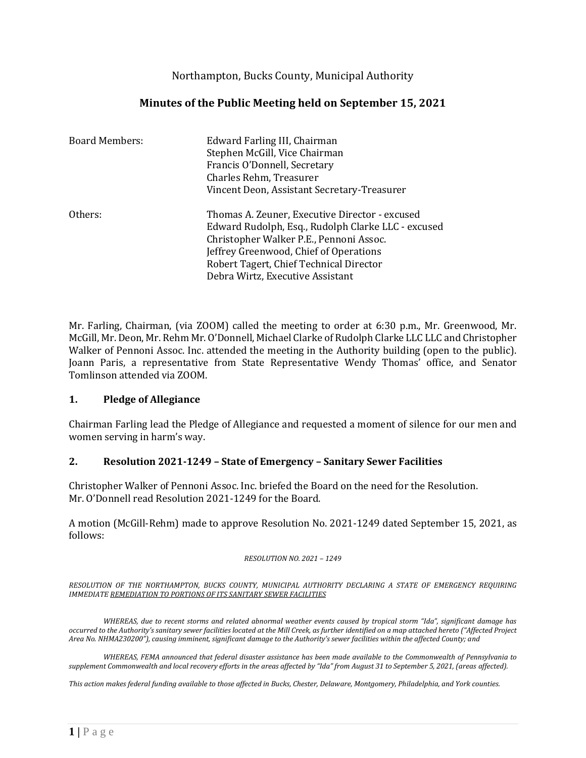Northampton, Bucks County, Municipal Authority

## **Minutes of the Public Meeting held on September 15, 2021**

| <b>Board Members:</b> | Edward Farling III, Chairman<br>Stephen McGill, Vice Chairman<br>Francis O'Donnell, Secretary<br>Charles Rehm, Treasurer<br>Vincent Deon, Assistant Secretary-Treasurer                                                                                                  |
|-----------------------|--------------------------------------------------------------------------------------------------------------------------------------------------------------------------------------------------------------------------------------------------------------------------|
| Others:               | Thomas A. Zeuner, Executive Director - excused<br>Edward Rudolph, Esq., Rudolph Clarke LLC - excused<br>Christopher Walker P.E., Pennoni Assoc.<br>Jeffrey Greenwood, Chief of Operations<br>Robert Tagert, Chief Technical Director<br>Debra Wirtz, Executive Assistant |

Mr. Farling, Chairman, (via ZOOM) called the meeting to order at 6:30 p.m., Mr. Greenwood, Mr. McGill, Mr. Deon, Mr. Rehm Mr. O'Donnell, Michael Clarke of Rudolph Clarke LLC LLC and Christopher Walker of Pennoni Assoc. Inc. attended the meeting in the Authority building (open to the public). Joann Paris, a representative from State Representative Wendy Thomas' office, and Senator Tomlinson attended via ZOOM.

## **1. Pledge of Allegiance**

Chairman Farling lead the Pledge of Allegiance and requested a moment of silence for our men and women serving in harm's way.

## **2. Resolution 2021-1249 – State of Emergency – Sanitary Sewer Facilities**

Christopher Walker of Pennoni Assoc. Inc. briefed the Board on the need for the Resolution. Mr. O'Donnell read Resolution 2021-1249 for the Board.

A motion (McGill-Rehm) made to approve Resolution No. 2021-1249 dated September 15, 2021, as follows:

*RESOLUTION NO. 2021 – 1249*

*RESOLUTION OF THE NORTHAMPTON, BUCKS COUNTY, MUNICIPAL AUTHORITY DECLARING A STATE OF EMERGENCY REQUIRING IMMEDIATE REMEDIATION TO PORTIONS OF ITS SANITARY SEWER FACILITIES*

*WHEREAS, due to recent storms and related abnormal weather events caused by tropical storm "Ida", significant damage has occurred to the Authority's sanitary sewer facilities located at the Mill Creek, as further identified on a map attached hereto ("Affected Project Area No. NHMA230200"), causing imminent, significant damage to the Authority's sewer facilities within the affected County; and* 

*WHEREAS, FEMA announced that federal disaster assistance has been made available to the Commonwealth of Pennsylvania to supplement Commonwealth and local recovery efforts in the areas affected by "Ida" from August 31 to September 5, 2021, (areas affected).*

*This action makes federal funding available to those affected in Bucks, Chester, Delaware, Montgomery, Philadelphia, and York counties.*